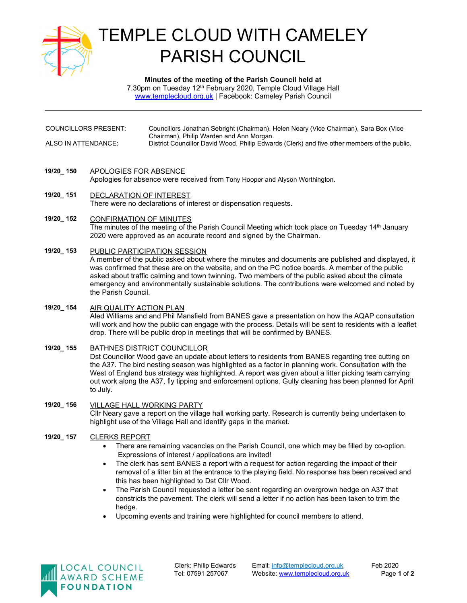

# TEMPLE CLOUD WITH CAMELEY PARISH COUNCIL

Minutes of the meeting of the Parish Council held at 7.30pm on Tuesday 12<sup>th</sup> February 2020, Temple Cloud Village Hall www.templecloud.org.uk | Facebook: Cameley Parish Council

- COUNCILLORS PRESENT: Councillors Jonathan Sebright (Chairman), Helen Neary (Vice Chairman), Sara Box (Vice Chairman), Philip Warden and Ann Morgan. ALSO IN ATTENDANCE: District Councillor David Wood, Philip Edwards (Clerk) and five other members of the public.
- 19/20\_ 150 APOLOGIES FOR ABSENCE

Apologies for absence were received from Tony Hooper and Alyson Worthington.

- 19/20 151 DECLARATION OF INTEREST There were no declarations of interest or dispensation requests.
- 19/20 152 CONFIRMATION OF MINUTES The minutes of the meeting of the Parish Council Meeting which took place on Tuesday 14<sup>th</sup> January 2020 were approved as an accurate record and signed by the Chairman.
- 19/20\_ 153 PUBLIC PARTICIPATION SESSION

A member of the public asked about where the minutes and documents are published and displayed, it was confirmed that these are on the website, and on the PC notice boards. A member of the public asked about traffic calming and town twinning. Two members of the public asked about the climate emergency and environmentally sustainable solutions. The contributions were welcomed and noted by the Parish Council.

- 19/20\_ 154 AIR QUALITY ACTION PLAN Aled Williams and and Phil Mansfield from BANES gave a presentation on how the AQAP consultation will work and how the public can engage with the process. Details will be sent to residents with a leaflet drop. There will be public drop in meetings that will be confirmed by BANES.
- 19/20\_ 155 BATHNES DISTRICT COUNCILLOR Dst Councillor Wood gave an update about letters to residents from BANES regarding tree cutting on the A37. The bird nesting season was highlighted as a factor in planning work. Consultation with the West of England bus strategy was highlighted. A report was given about a litter picking team carrying out work along the A37, fly tipping and enforcement options. Gully cleaning has been planned for April to July.
- 19/20\_ 156 VILLAGE HALL WORKING PARTY Cllr Neary gave a report on the village hall working party. Research is currently being undertaken to highlight use of the Village Hall and identify gaps in the market.
- 19/20\_ 157 CLERKS REPORT
	- There are remaining vacancies on the Parish Council, one which may be filled by co-option. Expressions of interest / applications are invited!
	- The clerk has sent BANES a report with a request for action regarding the impact of their removal of a litter bin at the entrance to the playing field. No response has been received and this has been highlighted to Dst Cllr Wood.
	- The Parish Council requested a letter be sent regarding an overgrown hedge on A37 that constricts the pavement. The clerk will send a letter if no action has been taken to trim the hedge.
	- Upcoming events and training were highlighted for council members to attend.